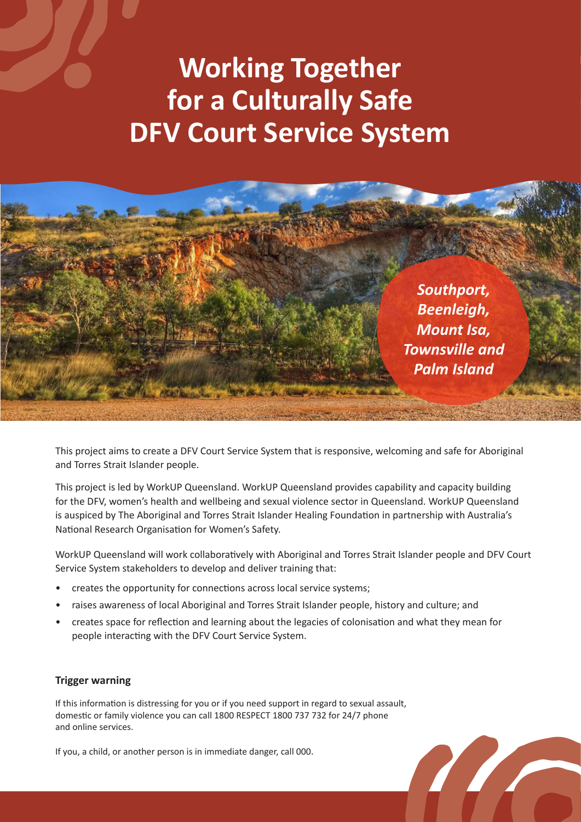## **Working Together for a Culturally Safe DFV Court Service System**



This project aims to create a DFV Court Service System that is responsive, welcoming and safe for Aboriginal and Torres Strait Islander people.

This project is led by WorkUP Queensland. WorkUP Queensland provides capability and capacity building for the DFV, women's health and wellbeing and sexual violence sector in Queensland. WorkUP Queensland is auspiced by The Aboriginal and Torres Strait Islander Healing Foundation in partnership with Australia's National Research Organisation for Women's Safety.

WorkUP Queensland will work collaboratively with Aboriginal and Torres Strait Islander people and DFV Court Service System stakeholders to develop and deliver training that:

- creates the opportunity for connections across local service systems;
- raises awareness of local Aboriginal and Torres Strait Islander people, history and culture; and
- creates space for reflection and learning about the legacies of colonisation and what they mean for people interacting with the DFV Court Service System.

#### **Trigger warning**

If this information is distressing for you or if you need support in regard to sexual assault, domestic or family violence you can call 1800 RESPECT 1800 737 732 for 24/7 phone and online services.

If you, a child, or another person is in immediate danger, call 000.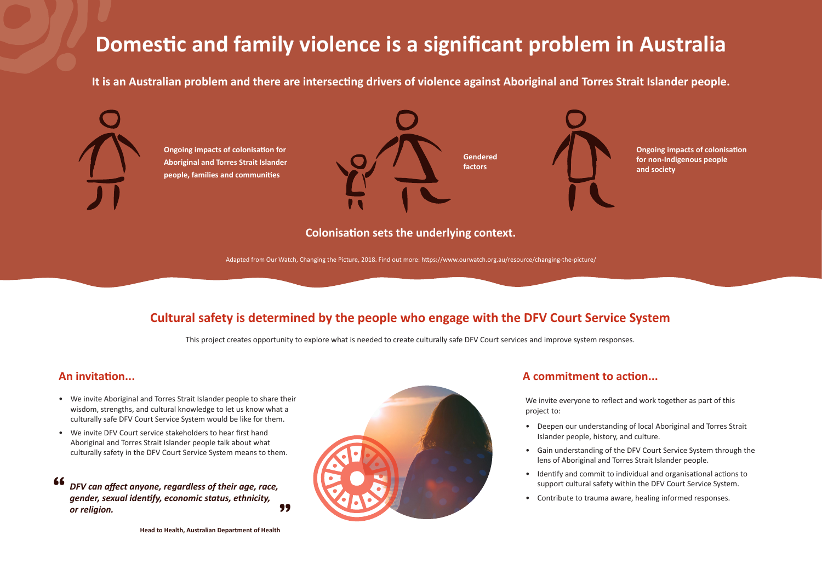### **An invitation...**

- We invite Aboriginal and Torres Strait Islander people to share their wisdom, strengths, and cultural knowledge to let us know what a culturally safe DFV Court Service System would be like for them.
- We invite DFV Court service stakeholders to hear first hand Aboriginal and Torres Strait Islander people talk about what culturally safety in the DFV Court Service System means to them.

**Ongoing impacts of colonisation for Aboriginal and Torres Strait Islander people, families and communities**

# **Domestic and family violence is a significant problem in Australia**

We invite everyone to reflect and work together as part of this project to:

• Deepen our understanding of local Aboriginal and Torres Strait

- Islander people, history, and culture.
- 
- 
- 

• Gain understanding of the DFV Court Service System through the lens of Aboriginal and Torres Strait Islander people.

• Identify and commit to individual and organisational actions to support cultural safety within the DFV Court Service System.

• Contribute to trauma aware, healing informed responses.

### **A commitment to action...**



**Ongoing impacts of colonisation for non-Indigenous people and society**

**It is an Australian problem and there are intersecting drivers of violence against Aboriginal and Torres Strait Islander people.**



## **Cultural safety is determined by the people who engage with the DFV Court Service System**

This project creates opportunity to explore what is needed to create culturally safe DFV Court services and improve system responses.

**Colonisation sets the underlying context.**

Adapted from Our Watch, Changing the Picture, 2018. Find out more: https://www.ourwatch.org.au/resource/changing-the-picture/

*DFV can affect anyone, regardless of their age, race, gender, sexual identify, economic status, ethnicity, or religion.* **" "**



**Head to Health, Australian Department of Health**